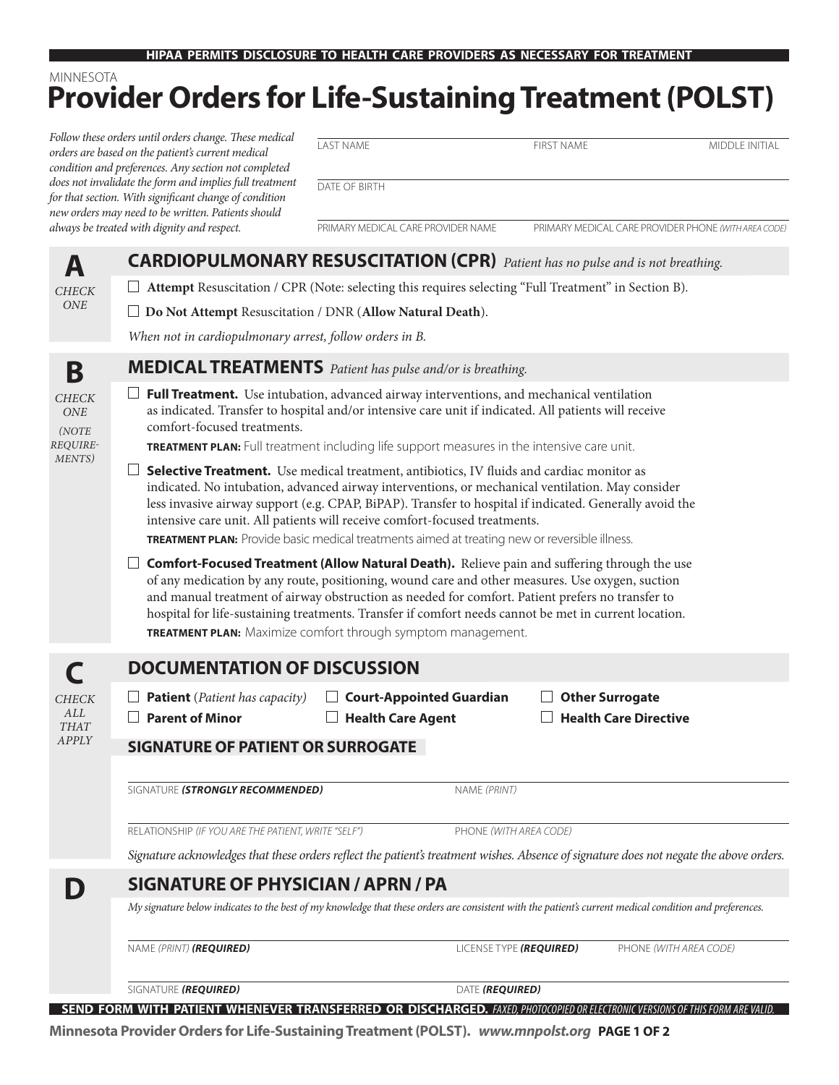# **Provider Orders for Life-Sustaining Treatment (POLST)** MINNESOTA

| Follow these orders until orders change. These medical<br>orders are based on the patient's current medical<br>condition and preferences. Any section not completed<br>does not invalidate the form and implies full treatment<br>for that section. With significant change of condition<br>new orders may need to be written. Patients should<br>always be treated with dignity and respect. |                                                                                                                                                                                                                                                                                                                                                                                                                                                                                         | <b>LAST NAME</b>                   | <b>FIRST NAME</b>            | MIDDLE INITIAL                                       |
|-----------------------------------------------------------------------------------------------------------------------------------------------------------------------------------------------------------------------------------------------------------------------------------------------------------------------------------------------------------------------------------------------|-----------------------------------------------------------------------------------------------------------------------------------------------------------------------------------------------------------------------------------------------------------------------------------------------------------------------------------------------------------------------------------------------------------------------------------------------------------------------------------------|------------------------------------|------------------------------|------------------------------------------------------|
|                                                                                                                                                                                                                                                                                                                                                                                               |                                                                                                                                                                                                                                                                                                                                                                                                                                                                                         | DATE OF BIRTH                      |                              |                                                      |
|                                                                                                                                                                                                                                                                                                                                                                                               |                                                                                                                                                                                                                                                                                                                                                                                                                                                                                         | PRIMARY MEDICAL CARE PROVIDER NAME |                              | PRIMARY MEDICAL CARE PROVIDER PHONE (WITH AREA CODE) |
| A<br><b>CHECK</b><br><b>ONE</b>                                                                                                                                                                                                                                                                                                                                                               | <b>CARDIOPULMONARY RESUSCITATION (CPR)</b> Patient has no pulse and is not breathing.                                                                                                                                                                                                                                                                                                                                                                                                   |                                    |                              |                                                      |
|                                                                                                                                                                                                                                                                                                                                                                                               | Attempt Resuscitation / CPR (Note: selecting this requires selecting "Full Treatment" in Section B).                                                                                                                                                                                                                                                                                                                                                                                    |                                    |                              |                                                      |
|                                                                                                                                                                                                                                                                                                                                                                                               | $\Box$ Do Not Attempt Resuscitation / DNR (Allow Natural Death).                                                                                                                                                                                                                                                                                                                                                                                                                        |                                    |                              |                                                      |
|                                                                                                                                                                                                                                                                                                                                                                                               | When not in cardiopulmonary arrest, follow orders in B.                                                                                                                                                                                                                                                                                                                                                                                                                                 |                                    |                              |                                                      |
| B<br><b>CHECK</b><br>ONE<br>(NOTE<br>REQUIRE-<br>MENTS)                                                                                                                                                                                                                                                                                                                                       | <b>MEDICAL TREATMENTS</b> Patient has pulse and/or is breathing.                                                                                                                                                                                                                                                                                                                                                                                                                        |                                    |                              |                                                      |
|                                                                                                                                                                                                                                                                                                                                                                                               | $\Box$ Full Treatment. Use intubation, advanced airway interventions, and mechanical ventilation<br>as indicated. Transfer to hospital and/or intensive care unit if indicated. All patients will receive<br>comfort-focused treatments.<br>TREATMENT PLAN: Full treatment including life support measures in the intensive care unit.                                                                                                                                                  |                                    |                              |                                                      |
|                                                                                                                                                                                                                                                                                                                                                                                               | Selective Treatment. Use medical treatment, antibiotics, IV fluids and cardiac monitor as<br>indicated. No intubation, advanced airway interventions, or mechanical ventilation. May consider<br>less invasive airway support (e.g. CPAP, BiPAP). Transfer to hospital if indicated. Generally avoid the<br>intensive care unit. All patients will receive comfort-focused treatments.<br>TREATMENT PLAN: Provide basic medical treatments aimed at treating new or reversible illness. |                                    |                              |                                                      |
|                                                                                                                                                                                                                                                                                                                                                                                               | <b>Comfort-Focused Treatment (Allow Natural Death).</b> Relieve pain and suffering through the use<br>⊔<br>of any medication by any route, positioning, wound care and other measures. Use oxygen, suction<br>and manual treatment of airway obstruction as needed for comfort. Patient prefers no transfer to<br>hospital for life-sustaining treatments. Transfer if comfort needs cannot be met in current location.<br>TREATMENT PLAN: Maximize comfort through symptom management. |                                    |                              |                                                      |
| <b>CHECK</b><br>ALL<br><b>THAT</b><br>APPLY                                                                                                                                                                                                                                                                                                                                                   | <b>DOCUMENTATION OF DISCUSSION</b>                                                                                                                                                                                                                                                                                                                                                                                                                                                      |                                    |                              |                                                      |
|                                                                                                                                                                                                                                                                                                                                                                                               | $\Box$ Patient (Patient has capacity)                                                                                                                                                                                                                                                                                                                                                                                                                                                   | <b>Court-Appointed Guardian</b>    | <b>Other Surrogate</b>       |                                                      |
|                                                                                                                                                                                                                                                                                                                                                                                               | <b>Parent of Minor</b><br>$\perp$                                                                                                                                                                                                                                                                                                                                                                                                                                                       | $\Box$ Health Care Agent           | $\Box$ Health Care Directive |                                                      |
|                                                                                                                                                                                                                                                                                                                                                                                               | <b>SIGNATURE OF PATIENT OR SURROGATE</b>                                                                                                                                                                                                                                                                                                                                                                                                                                                |                                    |                              |                                                      |
|                                                                                                                                                                                                                                                                                                                                                                                               | SIGNATURE (STRONGLY RECOMMENDED)                                                                                                                                                                                                                                                                                                                                                                                                                                                        |                                    | NAME (PRINT)                 |                                                      |
|                                                                                                                                                                                                                                                                                                                                                                                               | RELATIONSHIP (IF YOU ARE THE PATIENT, WRITE "SELF")                                                                                                                                                                                                                                                                                                                                                                                                                                     |                                    | PHONE (WITH AREA CODE)       |                                                      |
|                                                                                                                                                                                                                                                                                                                                                                                               | Signature acknowledges that these orders reflect the patient's treatment wishes. Absence of signature does not negate the above orders.                                                                                                                                                                                                                                                                                                                                                 |                                    |                              |                                                      |
|                                                                                                                                                                                                                                                                                                                                                                                               | <b>SIGNATURE OF PHYSICIAN / APRN / PA</b>                                                                                                                                                                                                                                                                                                                                                                                                                                               |                                    |                              |                                                      |
|                                                                                                                                                                                                                                                                                                                                                                                               | My signature below indicates to the best of my knowledge that these orders are consistent with the patient's current medical condition and preferences.                                                                                                                                                                                                                                                                                                                                 |                                    |                              |                                                      |
|                                                                                                                                                                                                                                                                                                                                                                                               | NAME (PRINT) (REQUIRED)                                                                                                                                                                                                                                                                                                                                                                                                                                                                 |                                    | LICENSE TYPE (REQUIRED)      | PHONE (WITH AREA CODE)                               |
|                                                                                                                                                                                                                                                                                                                                                                                               | SIGNATURE (REQUIRED)                                                                                                                                                                                                                                                                                                                                                                                                                                                                    |                                    | DATE (REQUIRED)              |                                                      |

**SEND FORM WITH PATIENT WHENEVER TRANSFERRED OR DISCHARGED.** *FAXED, PHOTOCOPIED OR ELECTRONIC VERSIONS OF THIS FORM ARE VALID.*

**Minnesota Provider Orders for Life-Sustaining Treatment (POLST).** *www.mnpolst.org* **PAGE 1 OF 2**